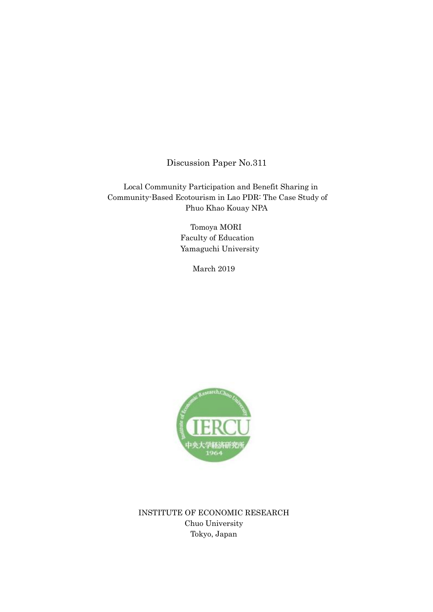Discussion Paper No.311

Local Community Participation and Benefit Sharing in Community-Based Ecotourism in Lao PDR: The Case Study of Phuo Khao Kouay NPA

> Tomoya MORI Faculty of Education Yamaguchi University

> > March 2019



INSTITUTE OF ECONOMIC RESEARCH Chuo University Tokyo, Japan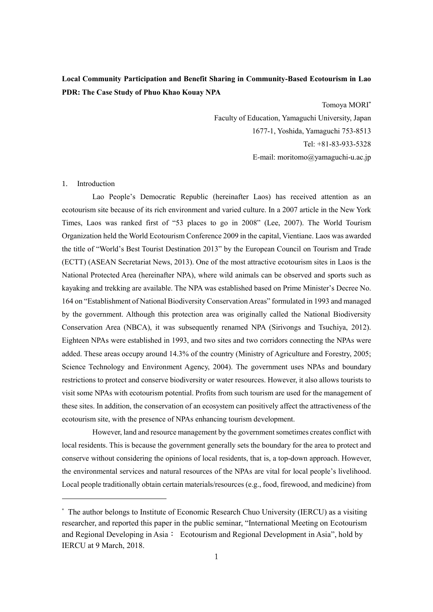# **Local Community Participation and Benefit Sharing in Community-Based Ecotourism in Lao PDR: The Case Study of Phuo Khao Kouay NPA**

Tomoya MORI\*

Faculty of Education, Yamaguchi University, Japan 1677-1, Yoshida, Yamaguchi 753-8513 Tel: +81-83-933-5328 E-mail: moritomo@yamaguchi-u.ac.jp

## 1. Introduction

-

Lao People's Democratic Republic (hereinafter Laos) has received attention as an ecotourism site because of its rich environment and varied culture. In a 2007 article in the New York Times, Laos was ranked first of "53 places to go in 2008" (Lee, 2007). The World Tourism Organization held the World Ecotourism Conference 2009 in the capital, Vientiane. Laos was awarded the title of "World's Best Tourist Destination 2013" by the European Council on Tourism and Trade (ECTT) (ASEAN Secretariat News, 2013). One of the most attractive ecotourism sites in Laos is the National Protected Area (hereinafter NPA), where wild animals can be observed and sports such as kayaking and trekking are available. The NPA was established based on Prime Minister's Decree No. 164 on "Establishment of National Biodiversity Conservation Areas" formulated in 1993 and managed by the government. Although this protection area was originally called the National Biodiversity Conservation Area (NBCA), it was subsequently renamed NPA (Sirivongs and Tsuchiya, 2012). Eighteen NPAs were established in 1993, and two sites and two corridors connecting the NPAs were added. These areas occupy around 14.3% of the country (Ministry of Agriculture and Forestry, 2005; Science Technology and Environment Agency, 2004). The government uses NPAs and boundary restrictions to protect and conserve biodiversity or water resources. However, it also allows tourists to visit some NPAs with ecotourism potential. Profits from such tourism are used for the management of these sites. In addition, the conservation of an ecosystem can positively affect the attractiveness of the ecotourism site, with the presence of NPAs enhancing tourism development.

However, land and resource management by the government sometimes creates conflict with local residents. This is because the government generally sets the boundary for the area to protect and conserve without considering the opinions of local residents, that is, a top-down approach. However, the environmental services and natural resources of the NPAs are vital for local people's livelihood. Local people traditionally obtain certain materials/resources (e.g., food, firewood, and medicine) from

<sup>\*</sup> The author belongs to Institute of Economic Research Chuo University (IERCU) as a visiting researcher, and reported this paper in the public seminar, "International Meeting on Ecotourism and Regional Developing in Asia: Ecotourism and Regional Development in Asia", hold by IERCU at 9 March, 2018.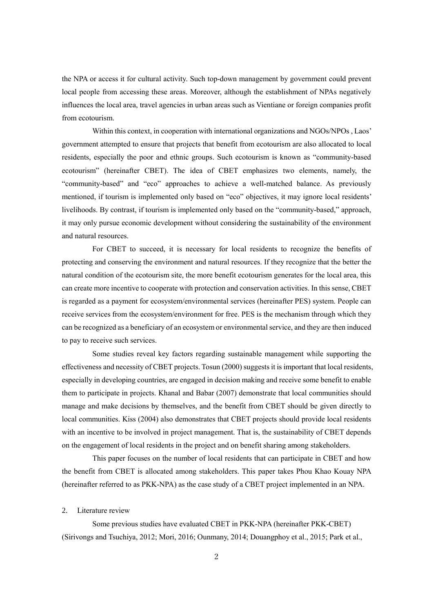the NPA or access it for cultural activity. Such top-down management by government could prevent local people from accessing these areas. Moreover, although the establishment of NPAs negatively influences the local area, travel agencies in urban areas such as Vientiane or foreign companies profit from ecotourism.

Within this context, in cooperation with international organizations and NGOs/NPOs , Laos' government attempted to ensure that projects that benefit from ecotourism are also allocated to local residents, especially the poor and ethnic groups. Such ecotourism is known as "community-based ecotourism" (hereinafter CBET). The idea of CBET emphasizes two elements, namely, the "community-based" and "eco" approaches to achieve a well-matched balance. As previously mentioned, if tourism is implemented only based on "eco" objectives, it may ignore local residents' livelihoods. By contrast, if tourism is implemented only based on the "community-based," approach, it may only pursue economic development without considering the sustainability of the environment and natural resources.

For CBET to succeed, it is necessary for local residents to recognize the benefits of protecting and conserving the environment and natural resources. If they recognize that the better the natural condition of the ecotourism site, the more benefit ecotourism generates for the local area, this can create more incentive to cooperate with protection and conservation activities. In this sense, CBET is regarded as a payment for ecosystem/environmental services (hereinafter PES) system. People can receive services from the ecosystem/environment for free. PES is the mechanism through which they can be recognized as a beneficiary of an ecosystem or environmental service, and they are then induced to pay to receive such services.

Some studies reveal key factors regarding sustainable management while supporting the effectiveness and necessity of CBET projects. Tosun (2000) suggests it is important that local residents, especially in developing countries, are engaged in decision making and receive some benefit to enable them to participate in projects. Khanal and Babar (2007) demonstrate that local communities should manage and make decisions by themselves, and the benefit from CBET should be given directly to local communities. Kiss (2004) also demonstrates that CBET projects should provide local residents with an incentive to be involved in project management. That is, the sustainability of CBET depends on the engagement of local residents in the project and on benefit sharing among stakeholders.

This paper focuses on the number of local residents that can participate in CBET and how the benefit from CBET is allocated among stakeholders. This paper takes Phou Khao Kouay NPA (hereinafter referred to as PKK-NPA) as the case study of a CBET project implemented in an NPA.

#### 2. Literature review

Some previous studies have evaluated CBET in PKK-NPA (hereinafter PKK-CBET) (Sirivongs and Tsuchiya, 2012; Mori, 2016; Ounmany, 2014; Douangphoy et al., 2015; Park et al.,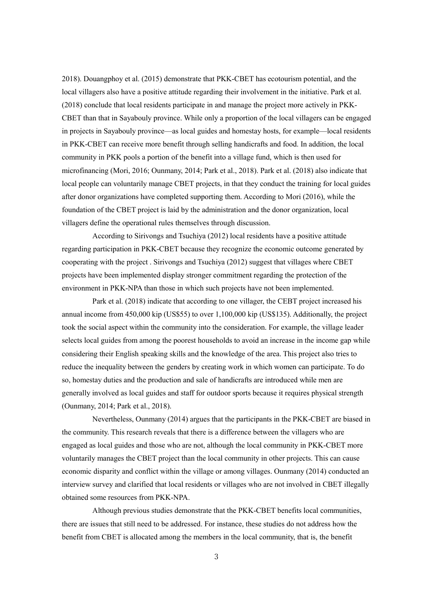2018). Douangphoy et al. (2015) demonstrate that PKK-CBET has ecotourism potential, and the local villagers also have a positive attitude regarding their involvement in the initiative. Park et al. (2018) conclude that local residents participate in and manage the project more actively in PKK-CBET than that in Sayabouly province. While only a proportion of the local villagers can be engaged in projects in Sayabouly province—as local guides and homestay hosts, for example—local residents in PKK-CBET can receive more benefit through selling handicrafts and food. In addition, the local community in PKK pools a portion of the benefit into a village fund, which is then used for microfinancing (Mori, 2016; Ounmany, 2014; Park et al., 2018). Park et al. (2018) also indicate that local people can voluntarily manage CBET projects, in that they conduct the training for local guides after donor organizations have completed supporting them. According to Mori (2016), while the foundation of the CBET project is laid by the administration and the donor organization, local villagers define the operational rules themselves through discussion.

According to Sirivongs and Tsuchiya (2012) local residents have a positive attitude regarding participation in PKK-CBET because they recognize the economic outcome generated by cooperating with the project . Sirivongs and Tsuchiya (2012) suggest that villages where CBET projects have been implemented display stronger commitment regarding the protection of the environment in PKK-NPA than those in which such projects have not been implemented.

Park et al. (2018) indicate that according to one villager, the CEBT project increased his annual income from 450,000 kip (US\$55) to over 1,100,000 kip (US\$135). Additionally, the project took the social aspect within the community into the consideration. For example, the village leader selects local guides from among the poorest households to avoid an increase in the income gap while considering their English speaking skills and the knowledge of the area. This project also tries to reduce the inequality between the genders by creating work in which women can participate. To do so, homestay duties and the production and sale of handicrafts are introduced while men are generally involved as local guides and staff for outdoor sports because it requires physical strength (Ounmany, 2014; Park et al., 2018).

Nevertheless, Ounmany (2014) argues that the participants in the PKK-CBET are biased in the community. This research reveals that there is a difference between the villagers who are engaged as local guides and those who are not, although the local community in PKK-CBET more voluntarily manages the CBET project than the local community in other projects. This can cause economic disparity and conflict within the village or among villages. Ounmany (2014) conducted an interview survey and clarified that local residents or villages who are not involved in CBET illegally obtained some resources from PKK-NPA.

Although previous studies demonstrate that the PKK-CBET benefits local communities, there are issues that still need to be addressed. For instance, these studies do not address how the benefit from CBET is allocated among the members in the local community, that is, the benefit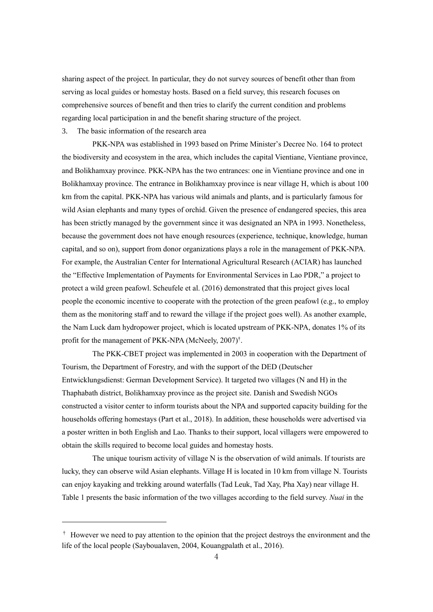sharing aspect of the project. In particular, they do not survey sources of benefit other than from serving as local guides or homestay hosts. Based on a field survey, this research focuses on comprehensive sources of benefit and then tries to clarify the current condition and problems regarding local participation in and the benefit sharing structure of the project.

3. The basic information of the research area

-

PKK-NPA was established in 1993 based on Prime Minister's Decree No. 164 to protect the biodiversity and ecosystem in the area, which includes the capital Vientiane, Vientiane province, and Bolikhamxay province. PKK-NPA has the two entrances: one in Vientiane province and one in Bolikhamxay province. The entrance in Bolikhamxay province is near village H, which is about 100 km from the capital. PKK-NPA has various wild animals and plants, and is particularly famous for wild Asian elephants and many types of orchid. Given the presence of endangered species, this area has been strictly managed by the government since it was designated an NPA in 1993. Nonetheless, because the government does not have enough resources (experience, technique, knowledge, human capital, and so on), support from donor organizations plays a role in the management of PKK-NPA. For example, the Australian Center for International Agricultural Research (ACIAR) has launched the "Effective Implementation of Payments for Environmental Services in Lao PDR," a project to protect a wild green peafowl. Scheufele et al. (2016) demonstrated that this project gives local people the economic incentive to cooperate with the protection of the green peafowl (e.g., to employ them as the monitoring staff and to reward the village if the project goes well). As another example, the Nam Luck dam hydropower project, which is located upstream of PKK-NPA, donates 1% of its profit for the management of PKK-NPA (McNeely, 2007)<sup>†</sup>.

The PKK-CBET project was implemented in 2003 in cooperation with the Department of Tourism, the Department of Forestry, and with the support of the DED (Deutscher Entwicklungsdienst: German Development Service). It targeted two villages (N and H) in the Thaphabath district, Bolikhamxay province as the project site. Danish and Swedish NGOs constructed a visitor center to inform tourists about the NPA and supported capacity building for the households offering homestays (Part et al., 2018). In addition, these households were advertised via a poster written in both English and Lao. Thanks to their support, local villagers were empowered to obtain the skills required to become local guides and homestay hosts.

The unique tourism activity of village  $N$  is the observation of wild animals. If tourists are lucky, they can observe wild Asian elephants. Village H is located in 10 km from village N. Tourists can enjoy kayaking and trekking around waterfalls (Tad Leuk, Tad Xay, Pha Xay) near village H. Table 1 presents the basic information of the two villages according to the field survey. *Nuai* in the

<sup>†</sup> However we need to pay attention to the opinion that the project destroys the environment and the life of the local people (Sayboualaven, 2004, Kouangpalath et al., 2016).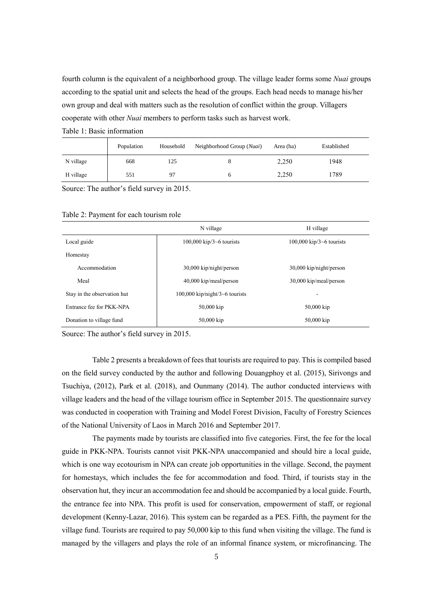fourth column is the equivalent of a neighborhood group. The village leader forms some *Nuai* groups according to the spatial unit and selects the head of the groups. Each head needs to manage his/her own group and deal with matters such as the resolution of conflict within the group. Villagers cooperate with other *Nuai* members to perform tasks such as harvest work.

|           | Population | Household | Neighborhood Group (Nuai) | Area (ha) | Established |
|-----------|------------|-----------|---------------------------|-----------|-------------|
| N village | 668        | 125       |                           | 2,250     | 1948        |
| H village | 551        | 97        |                           | 2,250     | 1789        |

Source: The author's field survey in 2015.

Table 1: Basic information

|                             | N village                         | H village                         |
|-----------------------------|-----------------------------------|-----------------------------------|
| Local guide                 | $100,000$ kip/3 $\sim$ 6 tourists | $100,000$ kip/3 $\sim$ 6 tourists |
| Homestay                    |                                   |                                   |
| Accommodation               | $30,000$ kip/night/person         | $30,000$ kip/night/person         |
| Meal                        | $40,000$ kip/meal/person          | 30,000 kip/meal/person            |
| Stay in the observation hut | $100,000$ kip/night/3~6 tourists  |                                   |
| Entrance fee for PKK-NPA    | 50,000 kip                        | $50,000$ kip                      |
| Donation to village fund    | 50,000 kip                        | $50,000$ kip                      |

### Table 2: Payment for each tourism role

Source: The author's field survey in 2015.

Table 2 presents a breakdown of fees that tourists are required to pay. This is compiled based on the field survey conducted by the author and following Douangphoy et al. (2015), Sirivongs and Tsuchiya, (2012), Park et al. (2018), and Ounmany (2014). The author conducted interviews with village leaders and the head of the village tourism office in September 2015. The questionnaire survey was conducted in cooperation with Training and Model Forest Division, Faculty of Forestry Sciences of the National University of Laos in March 2016 and September 2017.

The payments made by tourists are classified into five categories. First, the fee for the local guide in PKK-NPA. Tourists cannot visit PKK-NPA unaccompanied and should hire a local guide, which is one way ecotourism in NPA can create job opportunities in the village. Second, the payment for homestays, which includes the fee for accommodation and food. Third, if tourists stay in the observation hut, they incur an accommodation fee and should be accompanied by a local guide. Fourth, the entrance fee into NPA. This profit is used for conservation, empowerment of staff, or regional development (Kenny-Lazar, 2016). This system can be regarded as a PES. Fifth, the payment for the village fund. Tourists are required to pay 50,000 kip to this fund when visiting the village. The fund is managed by the villagers and plays the role of an informal finance system, or microfinancing. The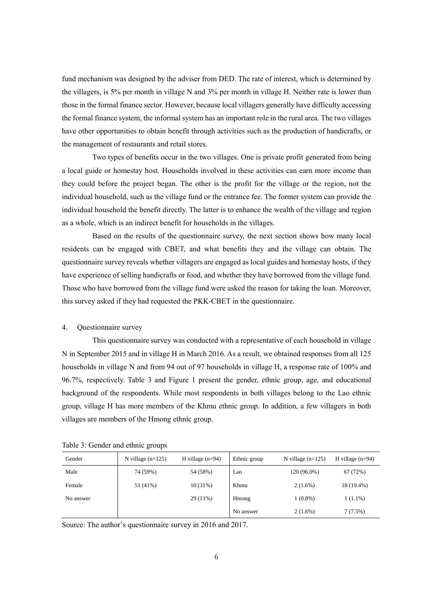fund mechanism was designed by the adviser from DED. The rate of interest, which is determined by the villagers, is 5% per month in village N and 3% per month in village H. Neither rate is lower than those in the formal finance sector. However, because local villagers generally have difficulty accessing the formal finance system, the informal system has an important role in the rural area. The two villages have other opportunities to obtain benefit through activities such as the production of handicrafts, or the management of restaurants and retail stores.

Two types of benefits occur in the two villages. One is private profit generated from being a local guide or homestay host. Households involved in these activities can earn more income than they could before the project began. The other is the profit for the village or the region, not the individual household, such as the village fund or the entrance fee. The former system can provide the individual household the benefit directly. The latter is to enhance the wealth of the village and region as a whole, which is an indirect benefit for households in the villages.

Based on the results of the questionnaire survey, the next section shows how many local residents can be engaged with CBET, and what benefits they and the village can obtain. The questionnaire survey reveals whether villagers are engaged as local guides and homestay hosts, if they have experience of selling handicrafts or food, and whether they have borrowed from the village fund. Those who have borrowed from the village fund were asked the reason for taking the loan. Moreover, this survey asked if they had requested the PKK-CBET in the questionnaire.

#### 4. Questionnaire survey

This questionnaire survey was conducted with a representative of each household in village N in September 2015 and in village H in March 2016. As a result, we obtained responses from all 125 households in village N and from 94 out of 97 households in village H, a response rate of 100% and 96.7%, respectively. Table 3 and Figure 1 present the gender, ethnic group, age, and educational background of the respondents. While most respondents in both villages belong to the Lao ethnic group, village H has more members of the Khmu ethnic group. In addition, a few villagers in both villages are members of the Hmong ethnic group.

Table 3: Gender and ethnic groups

| Gender    | N village $(n=125)$ | H village $(n=94)$ | Ethnic group | N village $(n=125)$ | H village $(n=94)$ |
|-----------|---------------------|--------------------|--------------|---------------------|--------------------|
| Male      | 74 (59%)            | 54 (58%)           | Lao          | 120 (96.0%)         | 67 (72%)           |
| Female    | 51 (41%)            | $10(31\%)$         | Khmu         | $2(1.6\%)$          | 18 (19.4%)         |
| No answer |                     | $29(11\%)$         | Hmong        | $1(0.8\%)$          | $1(1.1\%)$         |
|           |                     |                    | No answer    | $2(1.6\%)$          | 7(7.5%)            |

Source: The author's questionnaire survey in 2016 and 2017.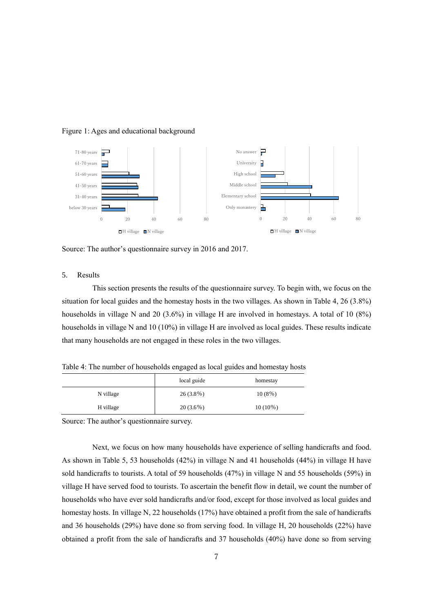



Source: The author's questionnaire survey in 2016 and 2017.

## 5. Results

This section presents the results of the questionnaire survey. To begin with, we focus on the situation for local guides and the homestay hosts in the two villages. As shown in Table 4, 26 (3.8%) households in village N and 20 (3.6%) in village H are involved in homestays. A total of 10 (8%) households in village N and 10 (10%) in village H are involved as local guides. These results indicate that many households are not engaged in these roles in the two villages.

Table 4: The number of households engaged as local guides and homestay hosts

|           | local guide | homestay   |
|-----------|-------------|------------|
| N village | $26(3.8\%)$ | $10(8\%)$  |
| H village | $20(3.6\%)$ | $10(10\%)$ |

Source: The author's questionnaire survey.

Next, we focus on how many households have experience of selling handicrafts and food. As shown in Table 5, 53 households (42%) in village N and 41 households (44%) in village H have sold handicrafts to tourists. A total of 59 households (47%) in village N and 55 households (59%) in village H have served food to tourists. To ascertain the benefit flow in detail, we count the number of households who have ever sold handicrafts and/or food, except for those involved as local guides and homestay hosts. In village N, 22 households (17%) have obtained a profit from the sale of handicrafts and 36 households (29%) have done so from serving food. In village H, 20 households (22%) have obtained a profit from the sale of handicrafts and 37 households (40%) have done so from serving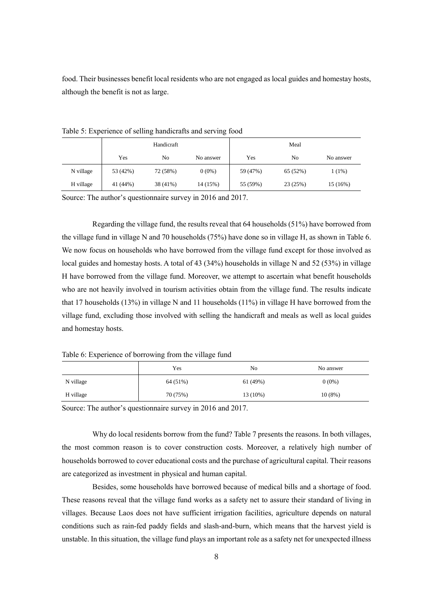food. Their businesses benefit local residents who are not engaged as local guides and homestay hosts, although the benefit is not as large.

|           | Handicraft |          |           | Meal     |          |           |
|-----------|------------|----------|-----------|----------|----------|-----------|
|           | Yes        | No       | No answer | Yes      | No       | No answer |
| N village | 53 (42%)   | 72 (58%) | $0(0\%)$  | 59 (47%) | 65 (52%) | $1(1\%)$  |
| H village | 41 (44%)   | 38 (41%) | 14 (15%)  | 55 (59%) | 23 (25%) | 15 (16%)  |

Table 5: Experience of selling handicrafts and serving food

Source: The author's questionnaire survey in 2016 and 2017.

Regarding the village fund, the results reveal that 64 households (51%) have borrowed from the village fund in village N and 70 households (75%) have done so in village H, as shown in Table 6. We now focus on households who have borrowed from the village fund except for those involved as local guides and homestay hosts. A total of 43 (34%) households in village N and 52 (53%) in village H have borrowed from the village fund. Moreover, we attempt to ascertain what benefit households who are not heavily involved in tourism activities obtain from the village fund. The results indicate that 17 households (13%) in village N and 11 households (11%) in village H have borrowed from the village fund, excluding those involved with selling the handicraft and meals as well as local guides and homestay hosts.

Table 6: Experience of borrowing from the village fund

|           | Yes      | N <sub>0</sub> | No answer |
|-----------|----------|----------------|-----------|
| N village | 64 (51%) | 61 (49%)       | $0(0\%)$  |
| H village | 70 (75%) | 13 (10%)       | $10(8\%)$ |

Source: The author's questionnaire survey in 2016 and 2017.

Why do local residents borrow from the fund? Table 7 presents the reasons. In both villages, the most common reason is to cover construction costs. Moreover, a relatively high number of households borrowed to cover educational costs and the purchase of agricultural capital. Their reasons are categorized as investment in physical and human capital.

Besides, some households have borrowed because of medical bills and a shortage of food. These reasons reveal that the village fund works as a safety net to assure their standard of living in villages. Because Laos does not have sufficient irrigation facilities, agriculture depends on natural conditions such as rain-fed paddy fields and slash-and-burn, which means that the harvest yield is unstable. In this situation, the village fund plays an important role as a safety net for unexpected illness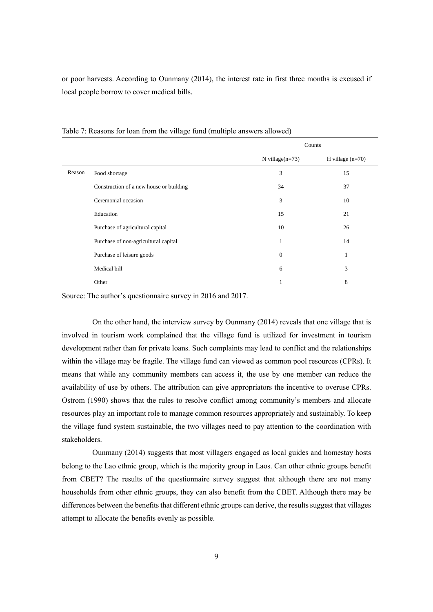or poor harvests. According to Ounmany (2014), the interest rate in first three months is excused if local people borrow to cover medical bills.

|        |                                         | Counts             |                    |
|--------|-----------------------------------------|--------------------|--------------------|
|        |                                         | N village $(n=73)$ | H village $(n=70)$ |
| Reason | Food shortage                           | 3                  | 15                 |
|        | Construction of a new house or building | 34                 | 37                 |
|        | Ceremonial occasion                     | 3                  | 10                 |
|        | Education                               | 15                 | 21                 |
|        | Purchase of agricultural capital        | 10                 | 26                 |
|        | Purchase of non-agricultural capital    | 1                  | 14                 |
|        | Purchase of leisure goods               | $\theta$           |                    |
|        | Medical bill                            | 6                  | 3                  |
|        | Other                                   | 1                  | 8                  |

Table 7: Reasons for loan from the village fund (multiple answers allowed)

Source: The author's questionnaire survey in 2016 and 2017.

On the other hand, the interview survey by Ounmany (2014) reveals that one village that is involved in tourism work complained that the village fund is utilized for investment in tourism development rather than for private loans. Such complaints may lead to conflict and the relationships within the village may be fragile. The village fund can viewed as common pool resources (CPRs). It means that while any community members can access it, the use by one member can reduce the availability of use by others. The attribution can give appropriators the incentive to overuse CPRs. Ostrom (1990) shows that the rules to resolve conflict among community's members and allocate resources play an important role to manage common resources appropriately and sustainably. To keep the village fund system sustainable, the two villages need to pay attention to the coordination with stakeholders.

Ounmany (2014) suggests that most villagers engaged as local guides and homestay hosts belong to the Lao ethnic group, which is the majority group in Laos. Can other ethnic groups benefit from CBET? The results of the questionnaire survey suggest that although there are not many households from other ethnic groups, they can also benefit from the CBET. Although there may be differences between the benefits that different ethnic groups can derive, the results suggest that villages attempt to allocate the benefits evenly as possible.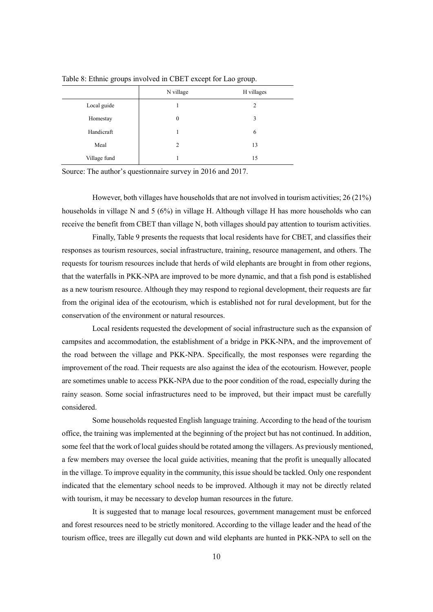|              | N village | H villages |
|--------------|-----------|------------|
| Local guide  |           | 2          |
| Homestay     | $\theta$  | 3          |
| Handicraft   |           | 6          |
| Meal         | 2         | 13         |
| Village fund |           | 15         |

Table 8: Ethnic groups involved in CBET except for Lao group.

Source: The author's questionnaire survey in 2016 and 2017.

However, both villages have households that are not involved in tourism activities; 26 (21%) households in village N and 5 (6%) in village H. Although village H has more households who can receive the benefit from CBET than village N, both villages should pay attention to tourism activities.

Finally, Table 9 presents the requests that local residents have for CBET, and classifies their responses as tourism resources, social infrastructure, training, resource management, and others. The requests for tourism resources include that herds of wild elephants are brought in from other regions, that the waterfalls in PKK-NPA are improved to be more dynamic, and that a fish pond is established as a new tourism resource. Although they may respond to regional development, their requests are far from the original idea of the ecotourism, which is established not for rural development, but for the conservation of the environment or natural resources.

Local residents requested the development of social infrastructure such as the expansion of campsites and accommodation, the establishment of a bridge in PKK-NPA, and the improvement of the road between the village and PKK-NPA. Specifically, the most responses were regarding the improvement of the road. Their requests are also against the idea of the ecotourism. However, people are sometimes unable to access PKK-NPA due to the poor condition of the road, especially during the rainy season. Some social infrastructures need to be improved, but their impact must be carefully considered.

Some households requested English language training. According to the head of the tourism office, the training was implemented at the beginning of the project but has not continued. In addition, some feel that the work of local guides should be rotated among the villagers. As previously mentioned, a few members may oversee the local guide activities, meaning that the profit is unequally allocated in the village. To improve equality in the community, this issue should be tackled. Only one respondent indicated that the elementary school needs to be improved. Although it may not be directly related with tourism, it may be necessary to develop human resources in the future.

It is suggested that to manage local resources, government management must be enforced and forest resources need to be strictly monitored. According to the village leader and the head of the tourism office, trees are illegally cut down and wild elephants are hunted in PKK-NPA to sell on the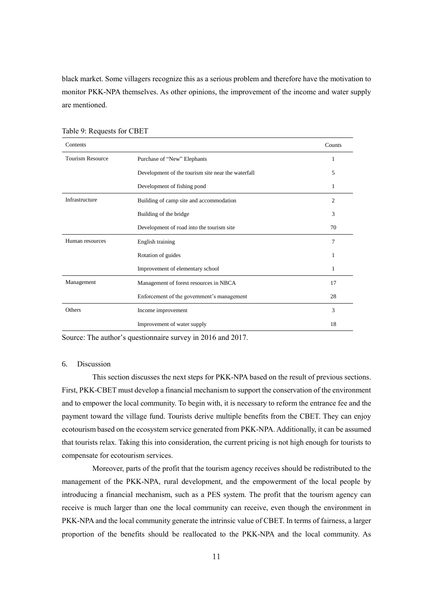black market. Some villagers recognize this as a serious problem and therefore have the motivation to monitor PKK-NPA themselves. As other opinions, the improvement of the income and water supply are mentioned.

| Contents                |                                                    | Counts         |
|-------------------------|----------------------------------------------------|----------------|
| <b>Tourism Resource</b> | Purchase of "New" Elephants                        | 1              |
|                         | Development of the tourism site near the waterfall | 5              |
|                         | Development of fishing pond                        | 1              |
| Infrastructure          | Building of camp site and accommodation            | $\overline{c}$ |
|                         | Building of the bridge                             | 3              |
|                         | Development of road into the tourism site          | 70             |
| Human resources         | English training                                   | 7              |
|                         | Rotation of guides                                 | 1              |
|                         | Improvement of elementary school                   | 1              |
| Management              | Management of forest resources in NBCA             | 17             |
|                         | Enforcement of the government's management         | 28             |
| <b>Others</b>           | Income improvement                                 | 3              |
|                         | Improvement of water supply                        | 18             |

Table 9: Requests for CBET

Source: The author's questionnaire survey in 2016 and 2017.

# 6. Discussion

This section discusses the next steps for PKK-NPA based on the result of previous sections. First, PKK-CBET must develop a financial mechanism to support the conservation of the environment and to empower the local community. To begin with, it is necessary to reform the entrance fee and the payment toward the village fund. Tourists derive multiple benefits from the CBET. They can enjoy ecotourism based on the ecosystem service generated from PKK-NPA. Additionally, it can be assumed that tourists relax. Taking this into consideration, the current pricing is not high enough for tourists to compensate for ecotourism services.

Moreover, parts of the profit that the tourism agency receives should be redistributed to the management of the PKK-NPA, rural development, and the empowerment of the local people by introducing a financial mechanism, such as a PES system. The profit that the tourism agency can receive is much larger than one the local community can receive, even though the environment in PKK-NPA and the local community generate the intrinsic value of CBET. In terms of fairness, a larger proportion of the benefits should be reallocated to the PKK-NPA and the local community. As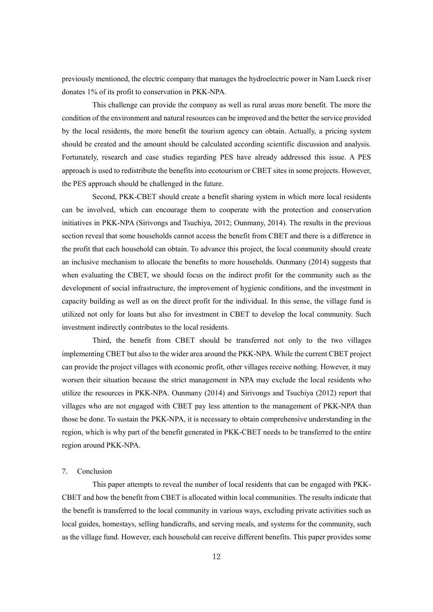previously mentioned, the electric company that manages the hydroelectric power in Nam Lueck river donates 1% of its profit to conservation in PKK-NPA.

This challenge can provide the company as well as rural areas more benefit. The more the condition of the environment and natural resources can be improved and the better the service provided by the local residents, the more benefit the tourism agency can obtain. Actually, a pricing system should be created and the amount should be calculated according scientific discussion and analysis. Fortunately, research and case studies regarding PES have already addressed this issue. A PES approach is used to redistribute the benefits into ecotourism or CBET sites in some projects. However, the PES approach should be challenged in the future.

Second, PKK-CBET should create a benefit sharing system in which more local residents can be involved, which can encourage them to cooperate with the protection and conservation initiatives in PKK-NPA (Sirivongs and Tsuchiya, 2012; Ounmany, 2014). The results in the previous section reveal that some households cannot access the benefit from CBET and there is a difference in the profit that each household can obtain. To advance this project, the local community should create an inclusive mechanism to allocate the benefits to more households. Ounmany (2014) suggests that when evaluating the CBET, we should focus on the indirect profit for the community such as the development of social infrastructure, the improvement of hygienic conditions, and the investment in capacity building as well as on the direct profit for the individual. In this sense, the village fund is utilized not only for loans but also for investment in CBET to develop the local community. Such investment indirectly contributes to the local residents.

Third, the benefit from CBET should be transferred not only to the two villages implementing CBET but also to the wider area around the PKK-NPA. While the current CBET project can provide the project villages with economic profit, other villages receive nothing. However, it may worsen their situation because the strict management in NPA may exclude the local residents who utilize the resources in PKK-NPA. Ounmany (2014) and Sirivongs and Tsuchiya (2012) report that villages who are not engaged with CBET pay less attention to the management of PKK-NPA than those be done. To sustain the PKK-NPA, it is necessary to obtain comprehensive understanding in the region, which is why part of the benefit generated in PKK-CBET needs to be transferred to the entire region around PKK-NPA.

#### 7. Conclusion

This paper attempts to reveal the number of local residents that can be engaged with PKK-CBET and how the benefit from CBET is allocated within local communities. The results indicate that the benefit is transferred to the local community in various ways, excluding private activities such as local guides, homestays, selling handicrafts, and serving meals, and systems for the community, such as the village fund. However, each household can receive different benefits. This paper provides some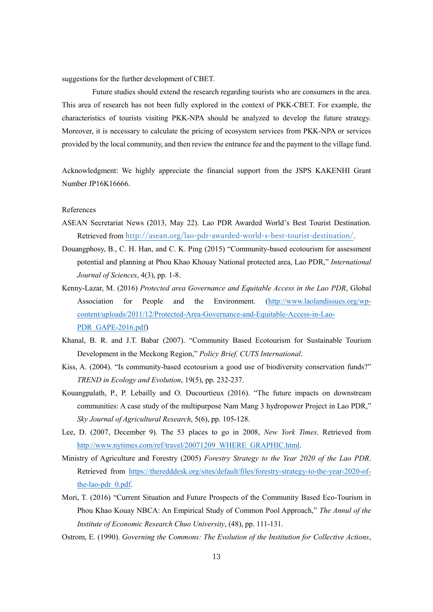suggestions for the further development of CBET.

Future studies should extend the research regarding tourists who are consumers in the area. This area of research has not been fully explored in the context of PKK-CBET. For example, the characteristics of tourists visiting PKK-NPA should be analyzed to develop the future strategy. Moreover, it is necessary to calculate the pricing of ecosystem services from PKK-NPA or services provided by the local community, and then review the entrance fee and the payment to the village fund.

Acknowledgment: We highly appreciate the financial support from the JSPS KAKENHI Grant Number JP16K16666.

#### References

- ASEAN Secretariat News (2013, May 22). Lao PDR Awarded World's Best Tourist Destination. Retrieved from <http://asean.org/lao-pdr-awarded-world-s-best-tourist-destination/>.
- Douangphosy, B., C. H. Han, and C. K. Ping (2015) "Community-based ecotourism for assessment potential and planning at Phou Khao Khouay National protected area, Lao PDR," *International Journal of Sciences*, 4(3), pp. 1-8.
- Kenny-Lazar, M. (2016) *Protected area Governance and Equitable Access in the Lao PDR*, Global Association for People and the Environment. [\(http://www.laolandissues.org/wp](http://www.laolandissues.org/wp-content/uploads/2011/12/Protected-Area-Governance-and-Equitable-Access-in-Lao-PDR_GAPE-2016.pdf)[content/uploads/2011/12/Protected-Area-Governance-and-Equitable-Access-in-Lao-](http://www.laolandissues.org/wp-content/uploads/2011/12/Protected-Area-Governance-and-Equitable-Access-in-Lao-PDR_GAPE-2016.pdf)[PDR\\_GAPE-2016.pdf\)](http://www.laolandissues.org/wp-content/uploads/2011/12/Protected-Area-Governance-and-Equitable-Access-in-Lao-PDR_GAPE-2016.pdf)
- Khanal, B. R. and J.T. Babar (2007). "Community Based Ecotourism for Sustainable Tourism Development in the Meckong Region," *Policy Brief, CUTS International*.
- Kiss, A. (2004). "Is community-based ecotourism a good use of biodiversity conservation funds?" *TREND in Ecology and Evolution*, 19(5), pp. 232-237.
- Kouangpalath, P., P. Lebailly and O. Ducourtieux (2016). "The future impacts on downstream communities: A case study of the multipurpose Nam Mang 3 hydropower Project in Lao PDR," *Sky Journal of Agricultural Research*, 5(6), pp. 105-128.
- Lee, D. (2007, December 9). The 53 places to go in 2008, *New York Times*. Retrieved from [http://www.nytimes.com/ref/travel/20071209\\_WHERE\\_GRAPHIC.html.](http://www.nytimes.com/ref/travel/20071209_WHERE_GRAPHIC.html)
- Ministry of Agriculture and Forestry (2005) *Forestry Strategy to the Year 2020 of the Lao PDR*. Retrieved from [https://theredddesk.org/sites/default/files/forestry-strategy-to-the-year-2020-of](https://theredddesk.org/sites/default/files/forestry-strategy-to-the-year-2020-of-the-lao-pdr_0.pdf)[the-lao-pdr\\_0.pdf.](https://theredddesk.org/sites/default/files/forestry-strategy-to-the-year-2020-of-the-lao-pdr_0.pdf)
- Mori, T. (2016) "Current Situation and Future Prospects of the Community Based Eco-Tourism in Phou Khao Kouay NBCA: An Empirical Study of Common Pool Approach," *The Annul of the Institute of Economic Research Chuo University*, (48), pp. 111-131.
- Ostrom, E. (1990). *Governing the Commons: The Evolution of the Institution for Collective Actions*,